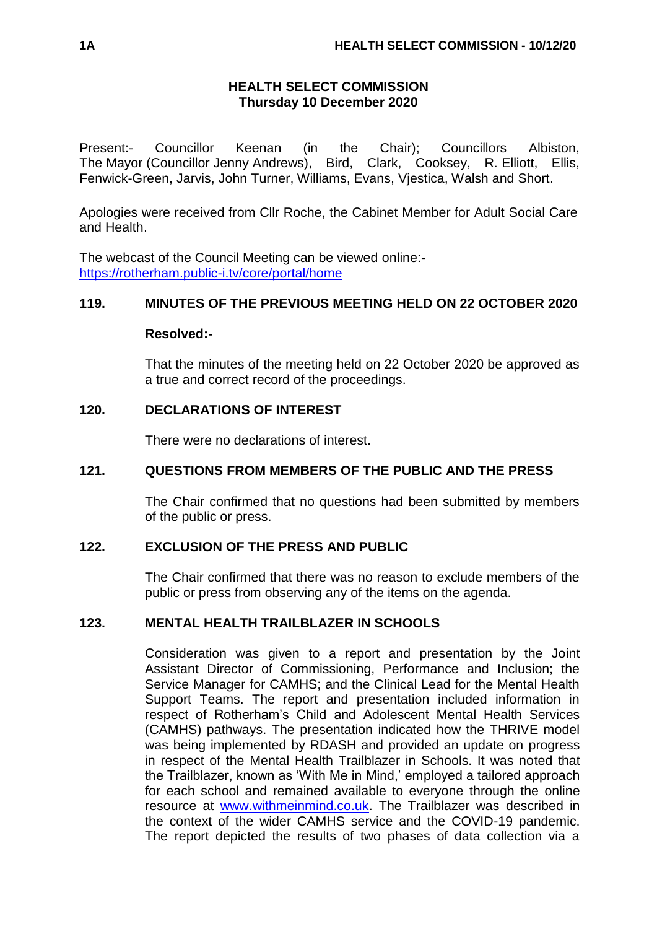## **HEALTH SELECT COMMISSION Thursday 10 December 2020**

Present:- Councillor Keenan (in the Chair); Councillors Albiston, The Mayor (Councillor Jenny Andrews), Bird, Clark, Cooksey, R. Elliott, Ellis, Fenwick-Green, Jarvis, John Turner, Williams, Evans, Vjestica, Walsh and Short.

Apologies were received from Cllr Roche, the Cabinet Member for Adult Social Care and Health.

The webcast of the Council Meeting can be viewed online: <https://rotherham.public-i.tv/core/portal/home>

# **119. MINUTES OF THE PREVIOUS MEETING HELD ON 22 OCTOBER 2020**

#### **Resolved:-**

That the minutes of the meeting held on 22 October 2020 be approved as a true and correct record of the proceedings.

# **120. DECLARATIONS OF INTEREST**

There were no declarations of interest.

## **121. QUESTIONS FROM MEMBERS OF THE PUBLIC AND THE PRESS**

The Chair confirmed that no questions had been submitted by members of the public or press.

## **122. EXCLUSION OF THE PRESS AND PUBLIC**

The Chair confirmed that there was no reason to exclude members of the public or press from observing any of the items on the agenda.

## **123. MENTAL HEALTH TRAILBLAZER IN SCHOOLS**

Consideration was given to a report and presentation by the Joint Assistant Director of Commissioning, Performance and Inclusion; the Service Manager for CAMHS; and the Clinical Lead for the Mental Health Support Teams. The report and presentation included information in respect of Rotherham's Child and Adolescent Mental Health Services (CAMHS) pathways. The presentation indicated how the THRIVE model was being implemented by RDASH and provided an update on progress in respect of the Mental Health Trailblazer in Schools. It was noted that the Trailblazer, known as 'With Me in Mind,' employed a tailored approach for each school and remained available to everyone through the online resource at [www.withmeinmind.co.uk.](http://www.withmeinmind.co.uk/) The Trailblazer was described in the context of the wider CAMHS service and the COVID-19 pandemic. The report depicted the results of two phases of data collection via a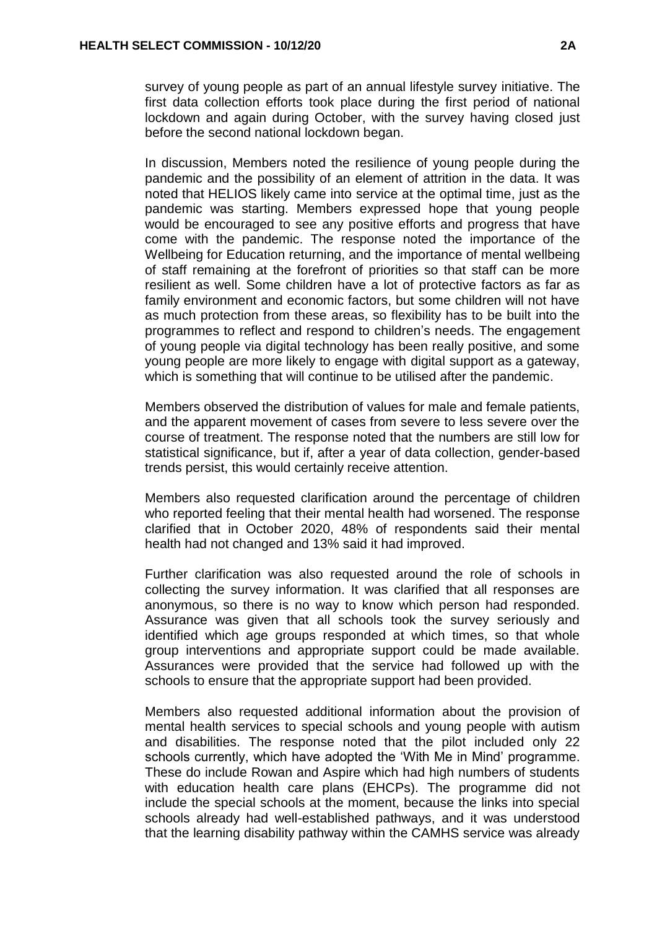survey of young people as part of an annual lifestyle survey initiative. The first data collection efforts took place during the first period of national lockdown and again during October, with the survey having closed just before the second national lockdown began.

In discussion, Members noted the resilience of young people during the pandemic and the possibility of an element of attrition in the data. It was noted that HELIOS likely came into service at the optimal time, just as the pandemic was starting. Members expressed hope that young people would be encouraged to see any positive efforts and progress that have come with the pandemic. The response noted the importance of the Wellbeing for Education returning, and the importance of mental wellbeing of staff remaining at the forefront of priorities so that staff can be more resilient as well. Some children have a lot of protective factors as far as family environment and economic factors, but some children will not have as much protection from these areas, so flexibility has to be built into the programmes to reflect and respond to children's needs. The engagement of young people via digital technology has been really positive, and some young people are more likely to engage with digital support as a gateway, which is something that will continue to be utilised after the pandemic.

Members observed the distribution of values for male and female patients, and the apparent movement of cases from severe to less severe over the course of treatment. The response noted that the numbers are still low for statistical significance, but if, after a year of data collection, gender-based trends persist, this would certainly receive attention.

Members also requested clarification around the percentage of children who reported feeling that their mental health had worsened. The response clarified that in October 2020, 48% of respondents said their mental health had not changed and 13% said it had improved.

Further clarification was also requested around the role of schools in collecting the survey information. It was clarified that all responses are anonymous, so there is no way to know which person had responded. Assurance was given that all schools took the survey seriously and identified which age groups responded at which times, so that whole group interventions and appropriate support could be made available. Assurances were provided that the service had followed up with the schools to ensure that the appropriate support had been provided.

Members also requested additional information about the provision of mental health services to special schools and young people with autism and disabilities. The response noted that the pilot included only 22 schools currently, which have adopted the 'With Me in Mind' programme. These do include Rowan and Aspire which had high numbers of students with education health care plans (EHCPs). The programme did not include the special schools at the moment, because the links into special schools already had well-established pathways, and it was understood that the learning disability pathway within the CAMHS service was already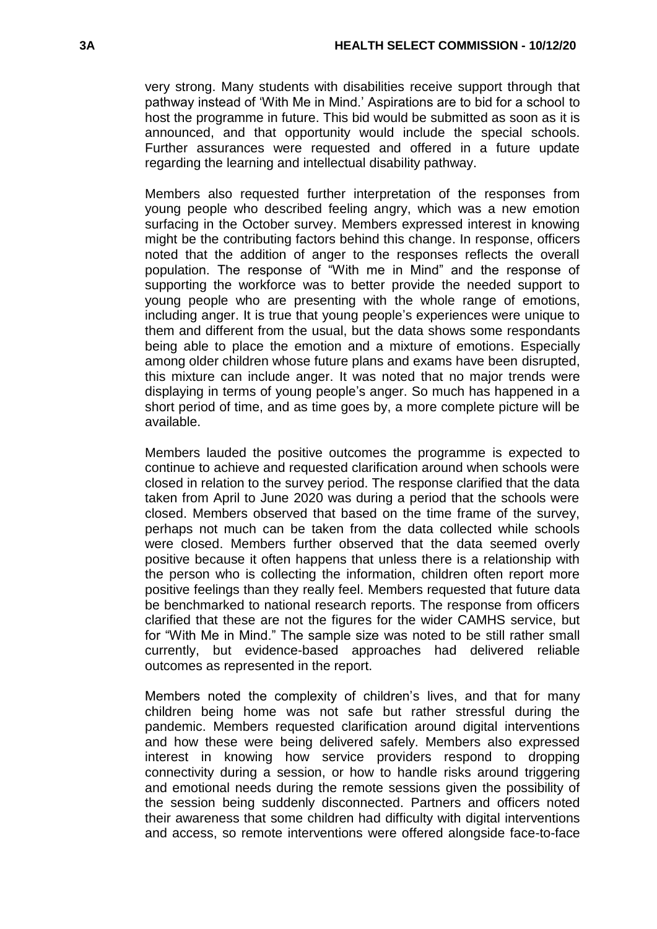very strong. Many students with disabilities receive support through that pathway instead of 'With Me in Mind.' Aspirations are to bid for a school to host the programme in future. This bid would be submitted as soon as it is announced, and that opportunity would include the special schools. Further assurances were requested and offered in a future update regarding the learning and intellectual disability pathway.

Members also requested further interpretation of the responses from young people who described feeling angry, which was a new emotion surfacing in the October survey. Members expressed interest in knowing might be the contributing factors behind this change. In response, officers noted that the addition of anger to the responses reflects the overall population. The response of "With me in Mind" and the response of supporting the workforce was to better provide the needed support to young people who are presenting with the whole range of emotions, including anger. It is true that young people's experiences were unique to them and different from the usual, but the data shows some respondants being able to place the emotion and a mixture of emotions. Especially among older children whose future plans and exams have been disrupted, this mixture can include anger. It was noted that no major trends were displaying in terms of young people's anger. So much has happened in a short period of time, and as time goes by, a more complete picture will be available.

Members lauded the positive outcomes the programme is expected to continue to achieve and requested clarification around when schools were closed in relation to the survey period. The response clarified that the data taken from April to June 2020 was during a period that the schools were closed. Members observed that based on the time frame of the survey, perhaps not much can be taken from the data collected while schools were closed. Members further observed that the data seemed overly positive because it often happens that unless there is a relationship with the person who is collecting the information, children often report more positive feelings than they really feel. Members requested that future data be benchmarked to national research reports. The response from officers clarified that these are not the figures for the wider CAMHS service, but for "With Me in Mind." The sample size was noted to be still rather small currently, but evidence-based approaches had delivered reliable outcomes as represented in the report.

Members noted the complexity of children's lives, and that for many children being home was not safe but rather stressful during the pandemic. Members requested clarification around digital interventions and how these were being delivered safely. Members also expressed interest in knowing how service providers respond to dropping connectivity during a session, or how to handle risks around triggering and emotional needs during the remote sessions given the possibility of the session being suddenly disconnected. Partners and officers noted their awareness that some children had difficulty with digital interventions and access, so remote interventions were offered alongside face-to-face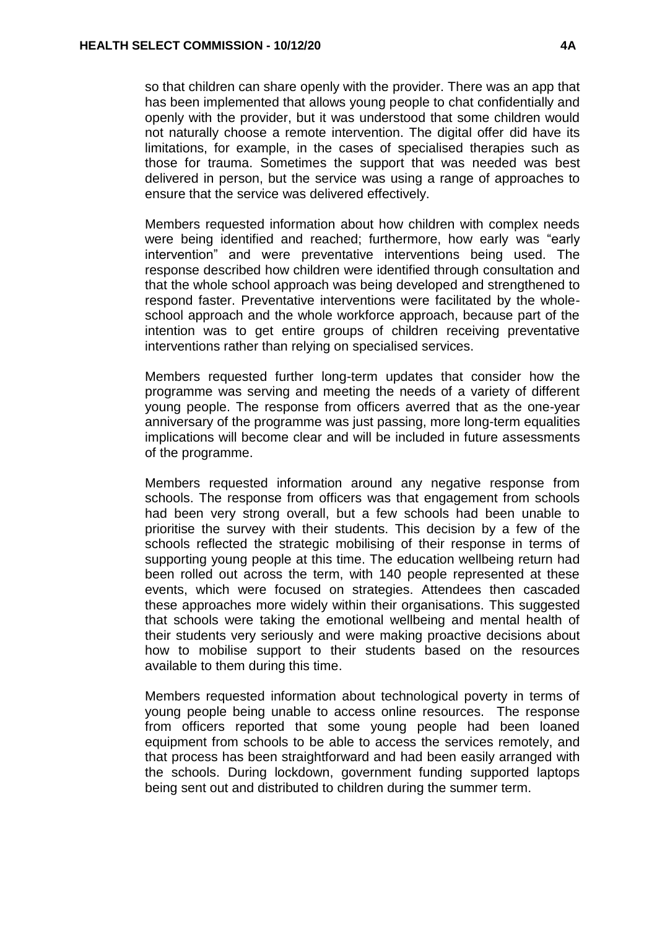so that children can share openly with the provider. There was an app that has been implemented that allows young people to chat confidentially and openly with the provider, but it was understood that some children would not naturally choose a remote intervention. The digital offer did have its limitations, for example, in the cases of specialised therapies such as those for trauma. Sometimes the support that was needed was best delivered in person, but the service was using a range of approaches to ensure that the service was delivered effectively.

Members requested information about how children with complex needs were being identified and reached; furthermore, how early was "early intervention" and were preventative interventions being used. The response described how children were identified through consultation and that the whole school approach was being developed and strengthened to respond faster. Preventative interventions were facilitated by the wholeschool approach and the whole workforce approach, because part of the intention was to get entire groups of children receiving preventative interventions rather than relying on specialised services.

Members requested further long-term updates that consider how the programme was serving and meeting the needs of a variety of different young people. The response from officers averred that as the one-year anniversary of the programme was just passing, more long-term equalities implications will become clear and will be included in future assessments of the programme.

Members requested information around any negative response from schools. The response from officers was that engagement from schools had been very strong overall, but a few schools had been unable to prioritise the survey with their students. This decision by a few of the schools reflected the strategic mobilising of their response in terms of supporting young people at this time. The education wellbeing return had been rolled out across the term, with 140 people represented at these events, which were focused on strategies. Attendees then cascaded these approaches more widely within their organisations. This suggested that schools were taking the emotional wellbeing and mental health of their students very seriously and were making proactive decisions about how to mobilise support to their students based on the resources available to them during this time.

Members requested information about technological poverty in terms of young people being unable to access online resources. The response from officers reported that some young people had been loaned equipment from schools to be able to access the services remotely, and that process has been straightforward and had been easily arranged with the schools. During lockdown, government funding supported laptops being sent out and distributed to children during the summer term.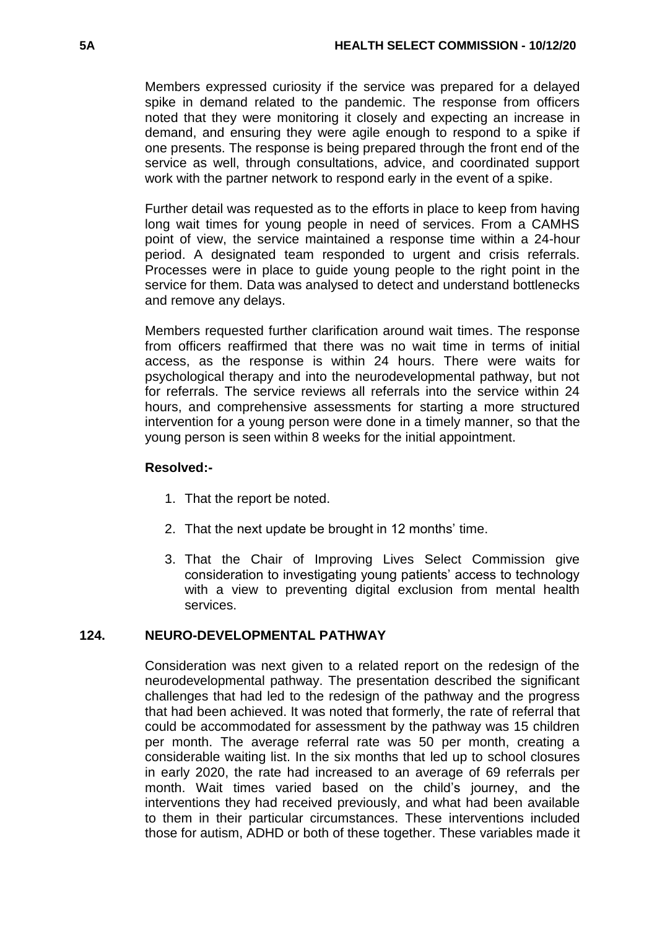Members expressed curiosity if the service was prepared for a delayed spike in demand related to the pandemic. The response from officers noted that they were monitoring it closely and expecting an increase in demand, and ensuring they were agile enough to respond to a spike if one presents. The response is being prepared through the front end of the service as well, through consultations, advice, and coordinated support work with the partner network to respond early in the event of a spike.

Further detail was requested as to the efforts in place to keep from having long wait times for young people in need of services. From a CAMHS point of view, the service maintained a response time within a 24-hour period. A designated team responded to urgent and crisis referrals. Processes were in place to guide young people to the right point in the service for them. Data was analysed to detect and understand bottlenecks and remove any delays.

Members requested further clarification around wait times. The response from officers reaffirmed that there was no wait time in terms of initial access, as the response is within 24 hours. There were waits for psychological therapy and into the neurodevelopmental pathway, but not for referrals. The service reviews all referrals into the service within 24 hours, and comprehensive assessments for starting a more structured intervention for a young person were done in a timely manner, so that the young person is seen within 8 weeks for the initial appointment.

## **Resolved:-**

- 1. That the report be noted.
- 2. That the next update be brought in 12 months' time.
- 3. That the Chair of Improving Lives Select Commission give consideration to investigating young patients' access to technology with a view to preventing digital exclusion from mental health services.

## **124. NEURO-DEVELOPMENTAL PATHWAY**

Consideration was next given to a related report on the redesign of the neurodevelopmental pathway. The presentation described the significant challenges that had led to the redesign of the pathway and the progress that had been achieved. It was noted that formerly, the rate of referral that could be accommodated for assessment by the pathway was 15 children per month. The average referral rate was 50 per month, creating a considerable waiting list. In the six months that led up to school closures in early 2020, the rate had increased to an average of 69 referrals per month. Wait times varied based on the child's journey, and the interventions they had received previously, and what had been available to them in their particular circumstances. These interventions included those for autism, ADHD or both of these together. These variables made it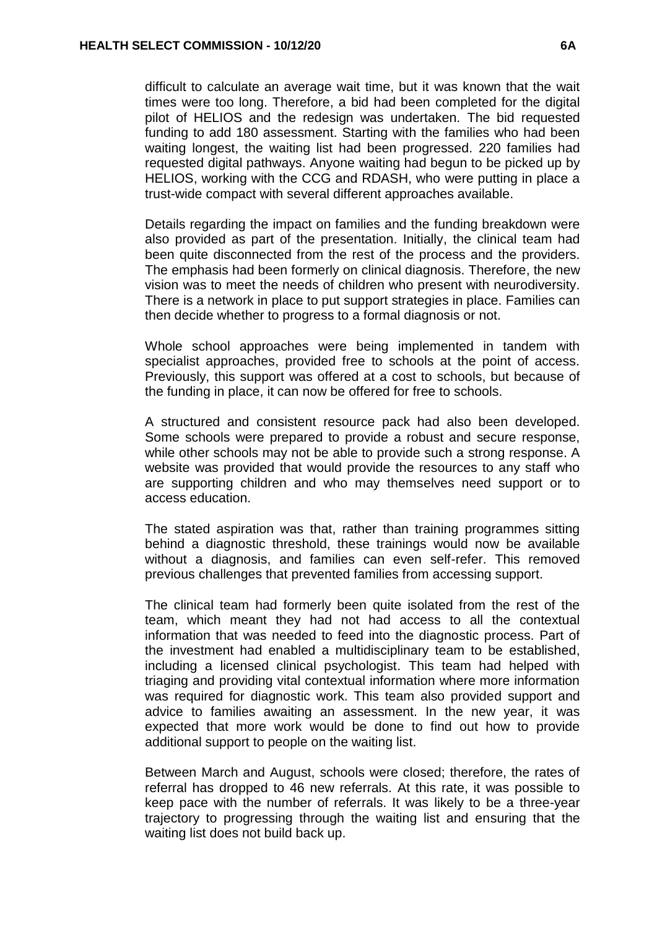difficult to calculate an average wait time, but it was known that the wait times were too long. Therefore, a bid had been completed for the digital pilot of HELIOS and the redesign was undertaken. The bid requested funding to add 180 assessment. Starting with the families who had been waiting longest, the waiting list had been progressed. 220 families had requested digital pathways. Anyone waiting had begun to be picked up by HELIOS, working with the CCG and RDASH, who were putting in place a trust-wide compact with several different approaches available.

Details regarding the impact on families and the funding breakdown were also provided as part of the presentation. Initially, the clinical team had been quite disconnected from the rest of the process and the providers. The emphasis had been formerly on clinical diagnosis. Therefore, the new vision was to meet the needs of children who present with neurodiversity. There is a network in place to put support strategies in place. Families can then decide whether to progress to a formal diagnosis or not.

Whole school approaches were being implemented in tandem with specialist approaches, provided free to schools at the point of access. Previously, this support was offered at a cost to schools, but because of the funding in place, it can now be offered for free to schools.

A structured and consistent resource pack had also been developed. Some schools were prepared to provide a robust and secure response, while other schools may not be able to provide such a strong response. A website was provided that would provide the resources to any staff who are supporting children and who may themselves need support or to access education.

The stated aspiration was that, rather than training programmes sitting behind a diagnostic threshold, these trainings would now be available without a diagnosis, and families can even self-refer. This removed previous challenges that prevented families from accessing support.

The clinical team had formerly been quite isolated from the rest of the team, which meant they had not had access to all the contextual information that was needed to feed into the diagnostic process. Part of the investment had enabled a multidisciplinary team to be established, including a licensed clinical psychologist. This team had helped with triaging and providing vital contextual information where more information was required for diagnostic work. This team also provided support and advice to families awaiting an assessment. In the new year, it was expected that more work would be done to find out how to provide additional support to people on the waiting list.

Between March and August, schools were closed; therefore, the rates of referral has dropped to 46 new referrals. At this rate, it was possible to keep pace with the number of referrals. It was likely to be a three-year trajectory to progressing through the waiting list and ensuring that the waiting list does not build back up.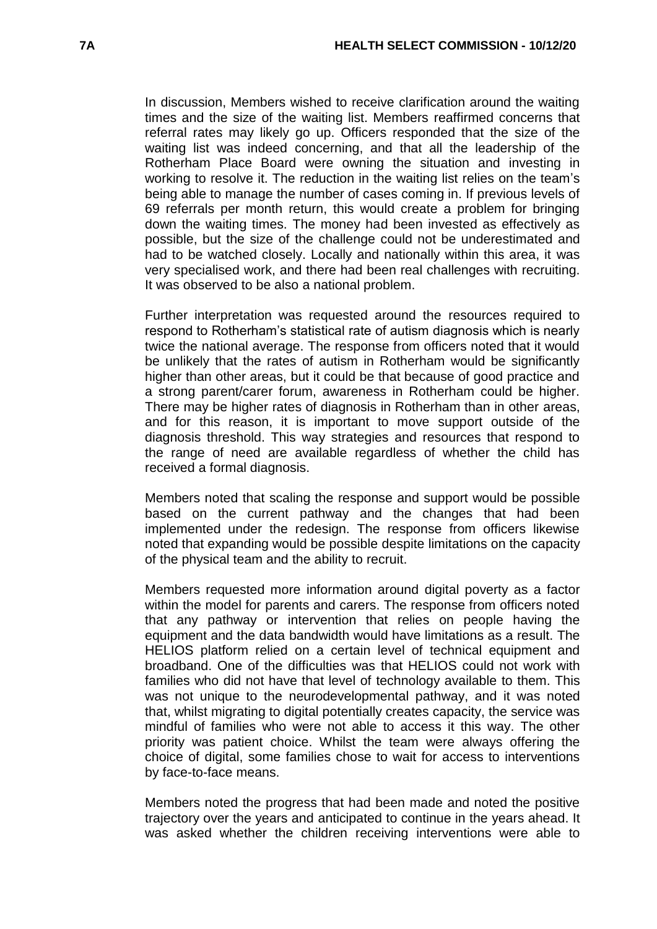In discussion, Members wished to receive clarification around the waiting times and the size of the waiting list. Members reaffirmed concerns that referral rates may likely go up. Officers responded that the size of the waiting list was indeed concerning, and that all the leadership of the Rotherham Place Board were owning the situation and investing in working to resolve it. The reduction in the waiting list relies on the team's being able to manage the number of cases coming in. If previous levels of 69 referrals per month return, this would create a problem for bringing down the waiting times. The money had been invested as effectively as possible, but the size of the challenge could not be underestimated and had to be watched closely. Locally and nationally within this area, it was very specialised work, and there had been real challenges with recruiting. It was observed to be also a national problem.

Further interpretation was requested around the resources required to respond to Rotherham's statistical rate of autism diagnosis which is nearly twice the national average. The response from officers noted that it would be unlikely that the rates of autism in Rotherham would be significantly higher than other areas, but it could be that because of good practice and a strong parent/carer forum, awareness in Rotherham could be higher. There may be higher rates of diagnosis in Rotherham than in other areas, and for this reason, it is important to move support outside of the diagnosis threshold. This way strategies and resources that respond to the range of need are available regardless of whether the child has received a formal diagnosis.

Members noted that scaling the response and support would be possible based on the current pathway and the changes that had been implemented under the redesign. The response from officers likewise noted that expanding would be possible despite limitations on the capacity of the physical team and the ability to recruit.

Members requested more information around digital poverty as a factor within the model for parents and carers. The response from officers noted that any pathway or intervention that relies on people having the equipment and the data bandwidth would have limitations as a result. The HELIOS platform relied on a certain level of technical equipment and broadband. One of the difficulties was that HELIOS could not work with families who did not have that level of technology available to them. This was not unique to the neurodevelopmental pathway, and it was noted that, whilst migrating to digital potentially creates capacity, the service was mindful of families who were not able to access it this way. The other priority was patient choice. Whilst the team were always offering the choice of digital, some families chose to wait for access to interventions by face-to-face means.

Members noted the progress that had been made and noted the positive trajectory over the years and anticipated to continue in the years ahead. It was asked whether the children receiving interventions were able to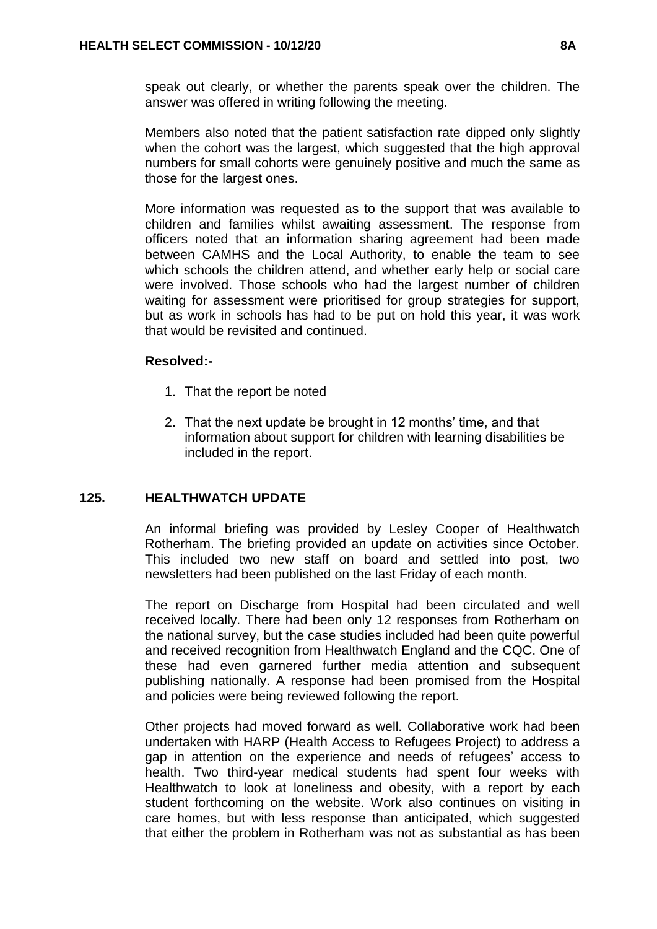speak out clearly, or whether the parents speak over the children. The answer was offered in writing following the meeting.

Members also noted that the patient satisfaction rate dipped only slightly when the cohort was the largest, which suggested that the high approval numbers for small cohorts were genuinely positive and much the same as those for the largest ones.

More information was requested as to the support that was available to children and families whilst awaiting assessment. The response from officers noted that an information sharing agreement had been made between CAMHS and the Local Authority, to enable the team to see which schools the children attend, and whether early help or social care were involved. Those schools who had the largest number of children waiting for assessment were prioritised for group strategies for support, but as work in schools has had to be put on hold this year, it was work that would be revisited and continued.

#### **Resolved:-**

- 1. That the report be noted
- 2. That the next update be brought in 12 months' time, and that information about support for children with learning disabilities be included in the report.

## **125. HEALTHWATCH UPDATE**

An informal briefing was provided by Lesley Cooper of Healthwatch Rotherham. The briefing provided an update on activities since October. This included two new staff on board and settled into post, two newsletters had been published on the last Friday of each month.

The report on Discharge from Hospital had been circulated and well received locally. There had been only 12 responses from Rotherham on the national survey, but the case studies included had been quite powerful and received recognition from Healthwatch England and the CQC. One of these had even garnered further media attention and subsequent publishing nationally. A response had been promised from the Hospital and policies were being reviewed following the report.

Other projects had moved forward as well. Collaborative work had been undertaken with HARP (Health Access to Refugees Project) to address a gap in attention on the experience and needs of refugees' access to health. Two third-year medical students had spent four weeks with Healthwatch to look at loneliness and obesity, with a report by each student forthcoming on the website. Work also continues on visiting in care homes, but with less response than anticipated, which suggested that either the problem in Rotherham was not as substantial as has been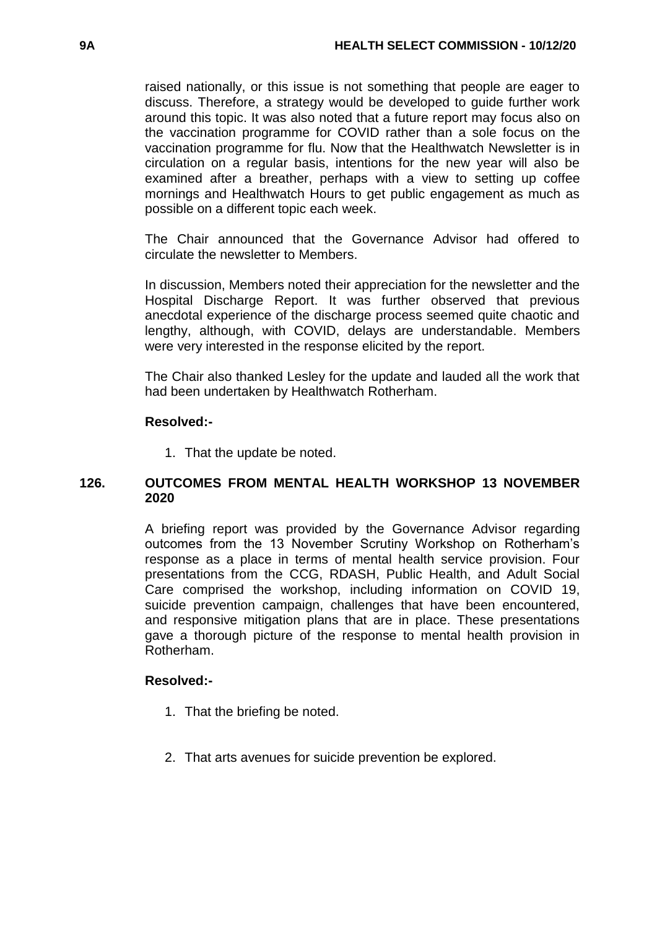raised nationally, or this issue is not something that people are eager to discuss. Therefore, a strategy would be developed to guide further work around this topic. It was also noted that a future report may focus also on the vaccination programme for COVID rather than a sole focus on the vaccination programme for flu. Now that the Healthwatch Newsletter is in circulation on a regular basis, intentions for the new year will also be examined after a breather, perhaps with a view to setting up coffee mornings and Healthwatch Hours to get public engagement as much as possible on a different topic each week.

The Chair announced that the Governance Advisor had offered to circulate the newsletter to Members.

In discussion, Members noted their appreciation for the newsletter and the Hospital Discharge Report. It was further observed that previous anecdotal experience of the discharge process seemed quite chaotic and lengthy, although, with COVID, delays are understandable. Members were very interested in the response elicited by the report.

The Chair also thanked Lesley for the update and lauded all the work that had been undertaken by Healthwatch Rotherham.

## **Resolved:-**

1. That the update be noted.

## **126. OUTCOMES FROM MENTAL HEALTH WORKSHOP 13 NOVEMBER 2020**

A briefing report was provided by the Governance Advisor regarding outcomes from the 13 November Scrutiny Workshop on Rotherham's response as a place in terms of mental health service provision. Four presentations from the CCG, RDASH, Public Health, and Adult Social Care comprised the workshop, including information on COVID 19, suicide prevention campaign, challenges that have been encountered, and responsive mitigation plans that are in place. These presentations gave a thorough picture of the response to mental health provision in Rotherham.

## **Resolved:-**

- 1. That the briefing be noted.
- 2. That arts avenues for suicide prevention be explored.